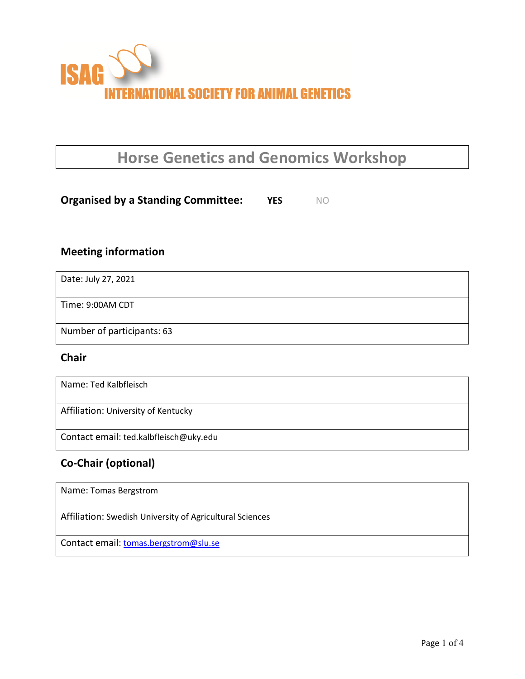

# **Horse Genetics and Genomics Workshop**

**Organised by a Standing Committee: YES** NO

### **Meeting information**

| Date: July 27, 2021        |
|----------------------------|
| Time: 9:00AM CDT           |
| Number of participants: 63 |

#### **Chair**

| Name: Ted Kalbfleisch                  |
|----------------------------------------|
| Affiliation: University of Kentucky    |
| Contact email: ted.kalbfleisch@uky.edu |

## **Co-Chair (optional)**

| Name: Tomas Bergstrom                                    |  |
|----------------------------------------------------------|--|
| Affiliation: Swedish University of Agricultural Sciences |  |
| Contact email: tomas.bergstrom@slu.se                    |  |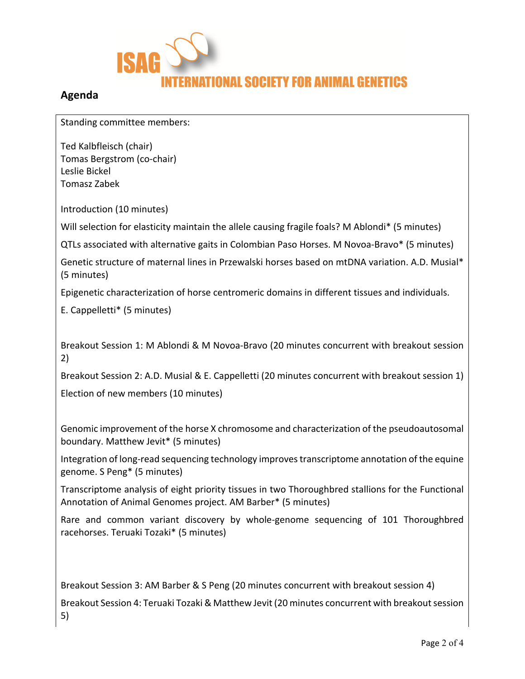

#### **Agenda**

Standing committee members:

Ted Kalbfleisch (chair) Tomas Bergstrom (co-chair) Leslie Bickel Tomasz Zabek

Introduction (10 minutes)

Will selection for elasticity maintain the allele causing fragile foals? M Ablondi\* (5 minutes)

QTLs associated with alternative gaits in Colombian Paso Horses. M Novoa-Bravo\* (5 minutes)

Genetic structure of maternal lines in Przewalski horses based on mtDNA variation. A.D. Musial\* (5 minutes)

Epigenetic characterization of horse centromeric domains in different tissues and individuals.

E. Cappelletti\* (5 minutes)

Breakout Session 1: M Ablondi & M Novoa-Bravo (20 minutes concurrent with breakout session 2)

Breakout Session 2: A.D. Musial & E. Cappelletti (20 minutes concurrent with breakout session 1) Election of new members (10 minutes)

Genomic improvement of the horse X chromosome and characterization of the pseudoautosomal boundary. Matthew Jevit\* (5 minutes)

Integration of long-read sequencing technology improves transcriptome annotation of the equine genome. S Peng\* (5 minutes)

Transcriptome analysis of eight priority tissues in two Thoroughbred stallions for the Functional Annotation of Animal Genomes project. AM Barber\* (5 minutes)

Rare and common variant discovery by whole-genome sequencing of 101 Thoroughbred racehorses. Teruaki Tozaki\* (5 minutes)

Breakout Session 3: AM Barber & S Peng (20 minutes concurrent with breakout session 4) Breakout Session 4: Teruaki Tozaki & Matthew Jevit (20 minutes concurrent with breakout session 5)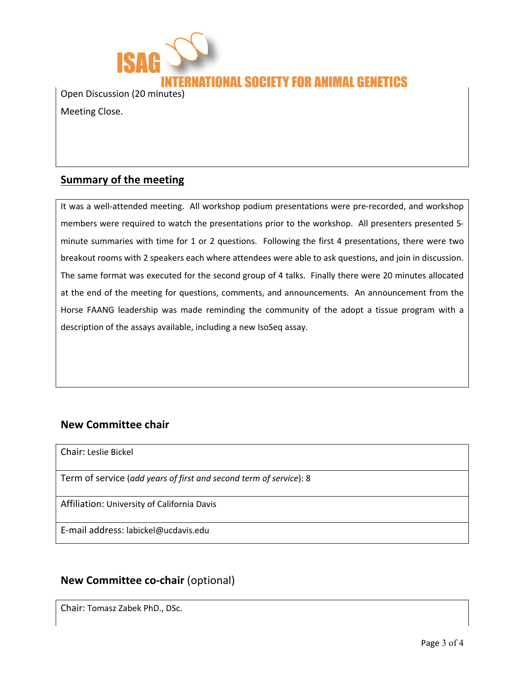

Open Discussion (20 minutes)

Meeting Close.

#### **Summary of the meeting**

It was a well-attended meeting. All workshop podium presentations were pre-recorded, and workshop members were required to watch the presentations prior to the workshop. All presenters presented 5 minute summaries with time for 1 or 2 questions. Following the first 4 presentations, there were two breakout rooms with 2 speakers each where attendees were able to ask questions, and join in discussion. The same format was executed for the second group of 4 talks. Finally there were 20 minutes allocated at the end of the meeting for questions, comments, and announcements. An announcement from the Horse FAANG leadership was made reminding the community of the adopt a tissue program with a description of the assays available, including a new IsoSeq assay.

#### **New Committee chair**

Chair: Leslie Bickel

Term of service (*add years of first and second term of service*): 8

Affiliation: University of California Davis

E-mail address: labickel@ucdavis.edu

#### **New Committee co-chair** (optional)

Chair: Tomasz Zabek PhD., DSc.